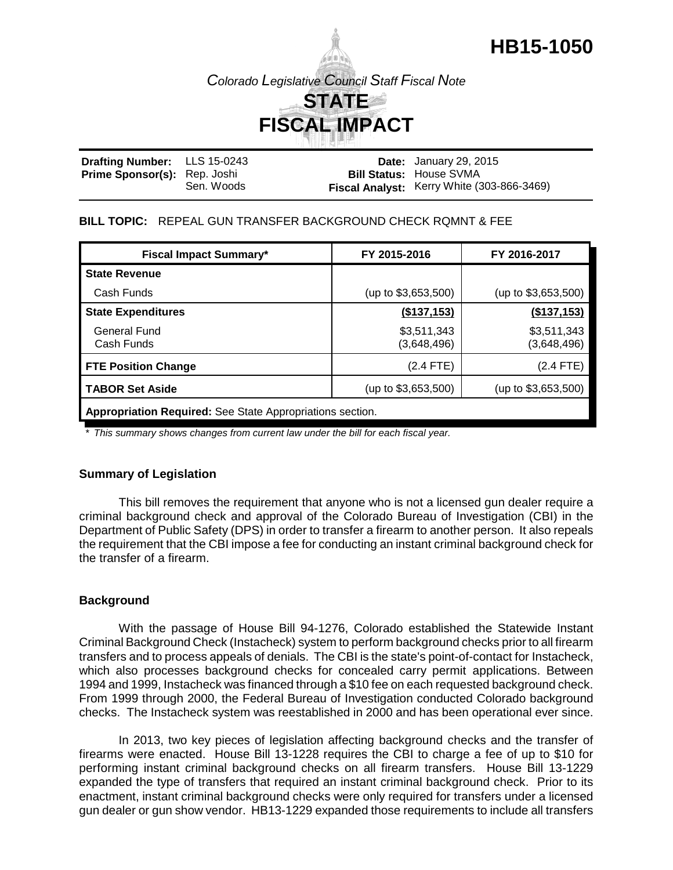## **HB15-1050**

*Colorado Legislative Council Staff Fiscal Note*

# **STATE FISCAL IMPACT**

| <b>Drafting Number:</b> LLS 15-0243 |            | <b>Date:</b> January 29, 2015              |
|-------------------------------------|------------|--------------------------------------------|
| <b>Prime Sponsor(s):</b> Rep. Joshi |            | <b>Bill Status: House SVMA</b>             |
|                                     | Sen. Woods | Fiscal Analyst: Kerry White (303-866-3469) |

#### **BILL TOPIC:** REPEAL GUN TRANSFER BACKGROUND CHECK RQMNT & FEE

| <b>Fiscal Impact Summary*</b>                             | FY 2015-2016               | FY 2016-2017               |  |  |  |
|-----------------------------------------------------------|----------------------------|----------------------------|--|--|--|
| <b>State Revenue</b>                                      |                            |                            |  |  |  |
| Cash Funds                                                | (up to $$3,653,500$ )      | (up to $$3,653,500$ )      |  |  |  |
| <b>State Expenditures</b>                                 | (\$137,153)                | (\$137,153)                |  |  |  |
| General Fund<br>Cash Funds                                | \$3,511,343<br>(3,648,496) | \$3,511,343<br>(3,648,496) |  |  |  |
| <b>FTE Position Change</b>                                | $(2.4$ FTE)                | (2.4 FTE)                  |  |  |  |
| TABOR Set Aside                                           | (up to \$3,653,500)        | (up to $$3,653,500$ )      |  |  |  |
| Appropriation Required: See State Appropriations section. |                            |                            |  |  |  |

*\* This summary shows changes from current law under the bill for each fiscal year.* 

#### **Summary of Legislation**

This bill removes the requirement that anyone who is not a licensed gun dealer require a criminal background check and approval of the Colorado Bureau of Investigation (CBI) in the Department of Public Safety (DPS) in order to transfer a firearm to another person. It also repeals the requirement that the CBI impose a fee for conducting an instant criminal background check for the transfer of a firearm.

#### **Background**

With the passage of House Bill 94-1276, Colorado established the Statewide Instant Criminal Background Check (Instacheck) system to perform background checks prior to all firearm transfers and to process appeals of denials. The CBI is the state's point-of-contact for Instacheck, which also processes background checks for concealed carry permit applications. Between 1994 and 1999, Instacheck was financed through a \$10 fee on each requested background check. From 1999 through 2000, the Federal Bureau of Investigation conducted Colorado background checks. The Instacheck system was reestablished in 2000 and has been operational ever since.

In 2013, two key pieces of legislation affecting background checks and the transfer of firearms were enacted. House Bill 13-1228 requires the CBI to charge a fee of up to \$10 for performing instant criminal background checks on all firearm transfers. House Bill 13-1229 expanded the type of transfers that required an instant criminal background check. Prior to its enactment, instant criminal background checks were only required for transfers under a licensed gun dealer or gun show vendor. HB13-1229 expanded those requirements to include all transfers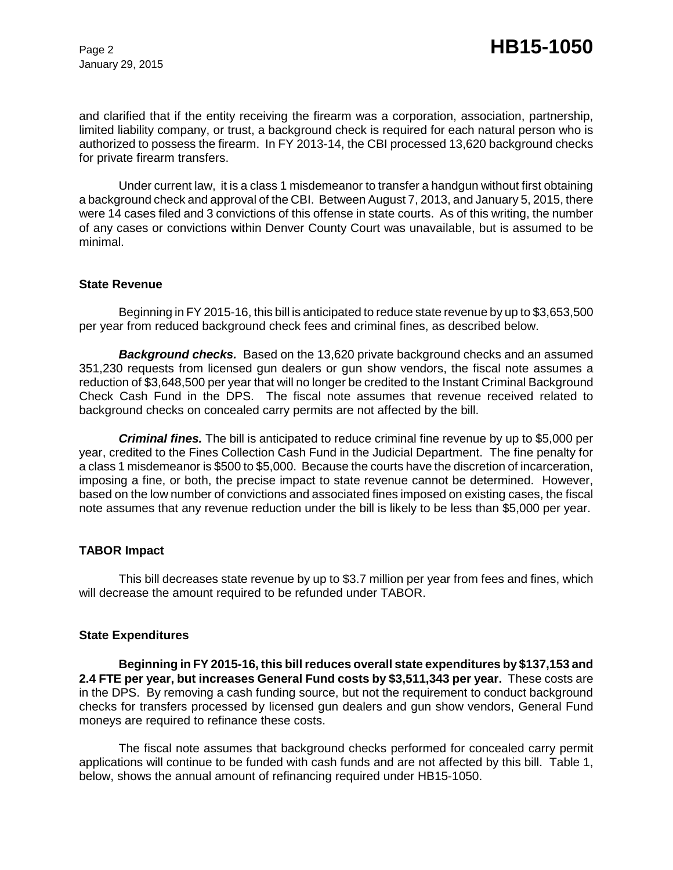January 29, 2015

and clarified that if the entity receiving the firearm was a corporation, association, partnership, limited liability company, or trust, a background check is required for each natural person who is authorized to possess the firearm. In FY 2013-14, the CBI processed 13,620 background checks for private firearm transfers.

Under current law, it is a class 1 misdemeanor to transfer a handgun without first obtaining a background check and approval of the CBI. Between August 7, 2013, and January 5, 2015, there were 14 cases filed and 3 convictions of this offense in state courts. As of this writing, the number of any cases or convictions within Denver County Court was unavailable, but is assumed to be minimal.

#### **State Revenue**

Beginning in FY 2015-16, this bill is anticipated to reduce state revenue by up to \$3,653,500 per year from reduced background check fees and criminal fines, as described below.

*Background checks.* Based on the 13,620 private background checks and an assumed 351,230 requests from licensed gun dealers or gun show vendors, the fiscal note assumes a reduction of \$3,648,500 per year that will no longer be credited to the Instant Criminal Background Check Cash Fund in the DPS. The fiscal note assumes that revenue received related to background checks on concealed carry permits are not affected by the bill.

*Criminal fines.* The bill is anticipated to reduce criminal fine revenue by up to \$5,000 per year, credited to the Fines Collection Cash Fund in the Judicial Department. The fine penalty for a class 1 misdemeanor is \$500 to \$5,000. Because the courts have the discretion of incarceration, imposing a fine, or both, the precise impact to state revenue cannot be determined. However, based on the low number of convictions and associated fines imposed on existing cases, the fiscal note assumes that any revenue reduction under the bill is likely to be less than \$5,000 per year.

#### **TABOR Impact**

This bill decreases state revenue by up to \$3.7 million per year from fees and fines, which will decrease the amount required to be refunded under TABOR.

#### **State Expenditures**

**Beginning in FY 2015-16, this bill reduces overall state expenditures by \$137,153 and 2.4 FTE per year, but increases General Fund costs by \$3,511,343 per year.** These costs are in the DPS. By removing a cash funding source, but not the requirement to conduct background checks for transfers processed by licensed gun dealers and gun show vendors, General Fund moneys are required to refinance these costs.

The fiscal note assumes that background checks performed for concealed carry permit applications will continue to be funded with cash funds and are not affected by this bill. Table 1, below, shows the annual amount of refinancing required under HB15-1050.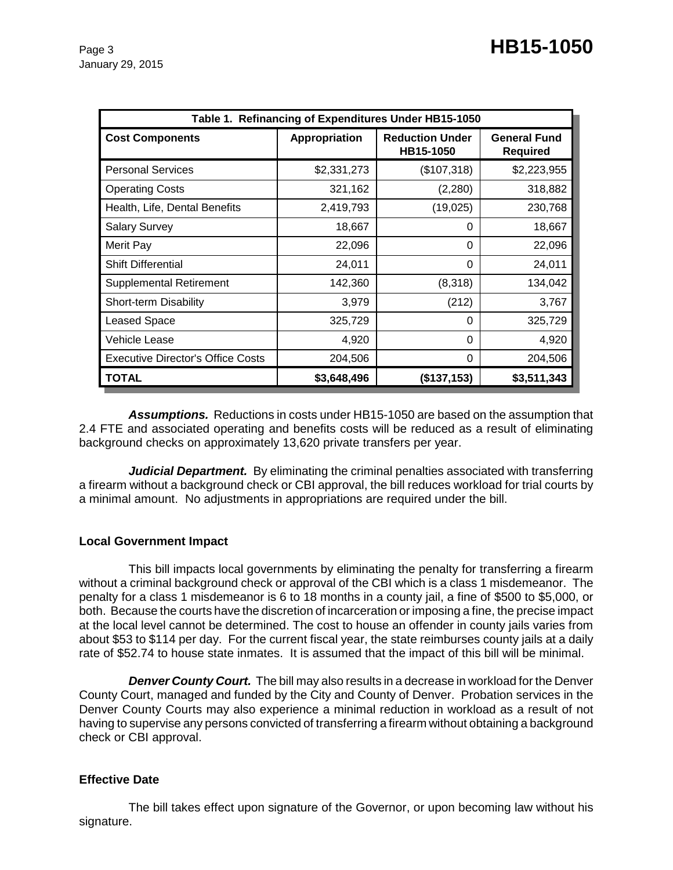| Table 1. Refinancing of Expenditures Under HB15-1050 |               |                                     |                                 |  |  |  |
|------------------------------------------------------|---------------|-------------------------------------|---------------------------------|--|--|--|
| <b>Cost Components</b>                               | Appropriation | <b>Reduction Under</b><br>HB15-1050 | <b>General Fund</b><br>Required |  |  |  |
| <b>Personal Services</b>                             | \$2,331,273   | (\$107,318)                         | \$2,223,955                     |  |  |  |
| <b>Operating Costs</b>                               | 321,162       | (2, 280)                            | 318,882                         |  |  |  |
| Health, Life, Dental Benefits                        | 2,419,793     | (19,025)                            | 230,768                         |  |  |  |
| <b>Salary Survey</b>                                 | 18,667        | 0                                   | 18,667                          |  |  |  |
| Merit Pay                                            | 22,096        | 0                                   | 22,096                          |  |  |  |
| <b>Shift Differential</b>                            | 24,011        | 0                                   | 24,011                          |  |  |  |
| <b>Supplemental Retirement</b>                       | 142,360       | (8,318)                             | 134,042                         |  |  |  |
| Short-term Disability                                | 3,979         | (212)                               | 3,767                           |  |  |  |
| Leased Space                                         | 325,729       | 0                                   | 325,729                         |  |  |  |
| Vehicle Lease                                        | 4,920         | 0                                   | 4,920                           |  |  |  |
| <b>Executive Director's Office Costs</b>             | 204,506       | 0                                   | 204,506                         |  |  |  |
| <b>TOTAL</b>                                         | \$3,648,496   | (\$137,153)                         | \$3,511,343                     |  |  |  |

*Assumptions.* Reductions in costs under HB15-1050 are based on the assumption that 2.4 FTE and associated operating and benefits costs will be reduced as a result of eliminating background checks on approximately 13,620 private transfers per year.

**Judicial Department.** By eliminating the criminal penalties associated with transferring a firearm without a background check or CBI approval, the bill reduces workload for trial courts by a minimal amount. No adjustments in appropriations are required under the bill.

#### **Local Government Impact**

This bill impacts local governments by eliminating the penalty for transferring a firearm without a criminal background check or approval of the CBI which is a class 1 misdemeanor. The penalty for a class 1 misdemeanor is 6 to 18 months in a county jail, a fine of \$500 to \$5,000, or both. Because the courts have the discretion of incarceration or imposing a fine, the precise impact at the local level cannot be determined. The cost to house an offender in county jails varies from about \$53 to \$114 per day. For the current fiscal year, the state reimburses county jails at a daily rate of \$52.74 to house state inmates. It is assumed that the impact of this bill will be minimal.

*Denver County Court.* The bill may also results in a decrease in workload for the Denver County Court, managed and funded by the City and County of Denver. Probation services in the Denver County Courts may also experience a minimal reduction in workload as a result of not having to supervise any persons convicted of transferring a firearm without obtaining a background check or CBI approval.

#### **Effective Date**

The bill takes effect upon signature of the Governor, or upon becoming law without his signature.